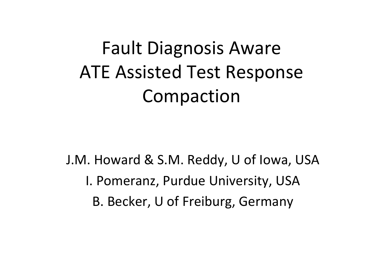# Fault Diagnosis Aware ATE Assisted Test Response Compaction

J.M. Howard & S.M. Reddy, U of Iowa, USA I. Pomeranz, Purdue University, USA B. Becker, U of Freiburg, Germany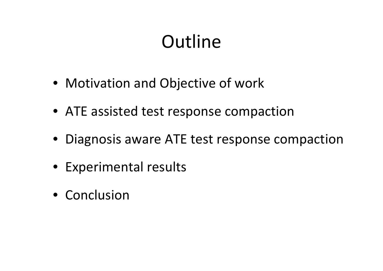## **Outline**

- Motivation and Objective of work
- ATE assisted test response compaction
- Diagnosis aware ATE test response compaction
- Experimental results
- Conclusion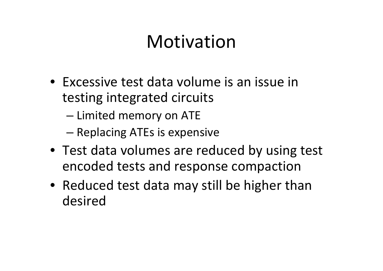## Motivation

- Excessive test data volume is an issue in testing integrated circuits
	- and the state of the state  $-$  Limited memory on ATE
	- –— Replacing ATEs is expensive
- Test data volumes are reduced by using test encoded tests and response compaction
- Reduced test data may still be higher than desired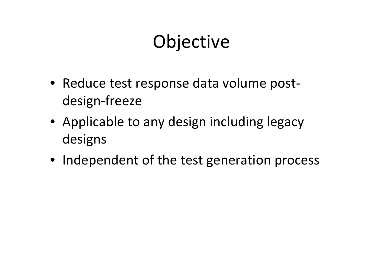## **Objective**

- Reduce test response data volume post‐ design‐freeze
- Applicable to any design including legacy designs
- Independent of the test generation process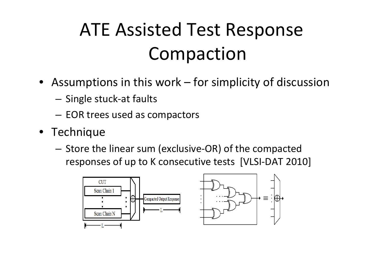## ATE Assisted Test Response Compaction

- Assumptions in this work for simplicity of discussion
	- **Links of the Company** — Single stuck-at faults
	- **Links of the Company**  $-$  EOR trees used as compactors
- Technique
	- Store the linear sum (exclusive‐OR) of the compacted responses of up to K consecutive tests [VLSI‐DAT 2010]

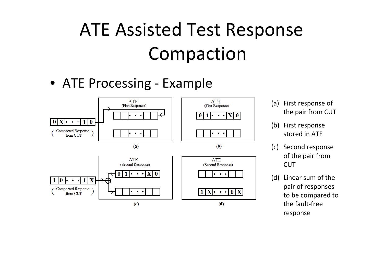## ATE Assisted Test Response Compaction

#### • ATE Processing ‐ Example



- (a) First response of the pair from CUT
- (b) First response stored in ATE
- (c) Second response of the pair from **CUT**
- (d) Linear sum of the pair of responses to be compared to the fault‐free response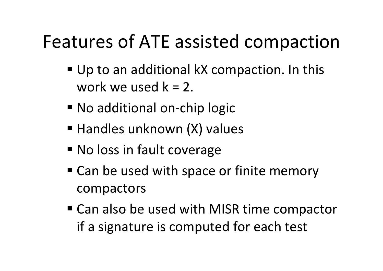### Features of ATE assisted compaction

- Up to an additional kX compaction. In this work we used k <sup>=</sup> 2.
- No additional on-chip logic
- **Handles unknown (X) values**
- **No loss in fault coverage**
- Can be used with space or finite memory compactors
- Can also be used with MISR time compactor if a signature is computed for each test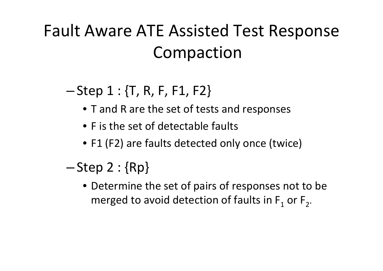#### Fault Aware ATE Assisted Test Response Compaction

#### –— Step 1 : {T, R, F, F1, F2}

- T and R are the set of tests and responses
- F is the set of detectable faults
- F1 (F2) are faults detected only once (twice)
- – $-\mathsf{Step}\ 2:\{\mathsf{Rp}\}$ 
	- Determine the set of pairs of responses not to be merged to avoid detection of faults in F<sub>1</sub> or F<sub>2</sub>.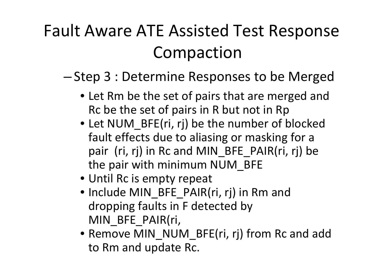#### Fault Aware ATE Assisted Test Response Compaction

#### –— Step 3 : Determine Responses to be Merged

- Let Rm be the set of pairs that are merged and Rc be the set of pairs in R but not in Rp
- Let NUM\_BFE(ri, rj) be the number of blocked fault effects due to aliasing or masking for <sup>a</sup> pair (ri, rj) in Rc and MIN BFE PAIR(ri, rj) be the pair with minimum NUM\_BFE
- Until Rc is empty repeat
- Include MIN\_BFE\_PAIR(ri, rj) in Rm and dropping faults in F detected by MIN\_BFE\_PAIR(ri,
- Remove MIN\_NUM\_BFE(ri, rj) from Rc and add to Rm and update Rc.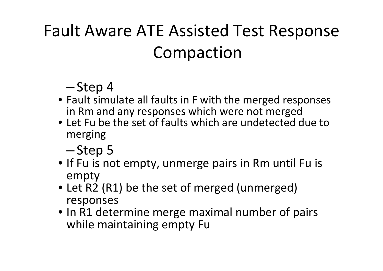### Fault Aware ATE Assisted Test Response Compaction

#### ––Step 4

- Fault simulate all faults in F with the merged responses in Rm and any responses which were not merged
- Let Fu be the set of faults which are undetected due tomerging
	- –—Step 5
- If Fu is not empty, unmerge pairs in Rm until Fu is empty
- Let R2 (R1) be the set of merged (unmerged) responses
- In R1 determine merge maximal number of pairs while maintaining empty Fu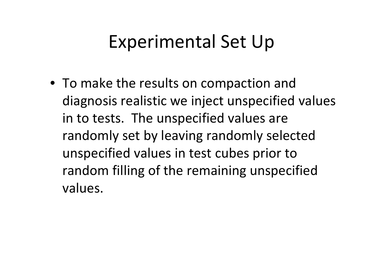### Experimental Set Up

• To make the results on compaction and diagnosis realistic we inject unspecified values in to tests. The unspecified values are randomly set by leaving randomly selected unspecified values in test cubes prior to random filling of the remaining unspecified values.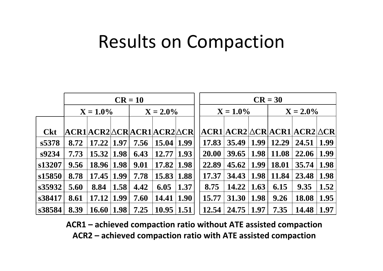#### Results on Compaction

|            |             |                             |      | $CR = 10$ |             |      |  |             |       |      | $CR = 30$    |                                                  |      |
|------------|-------------|-----------------------------|------|-----------|-------------|------|--|-------------|-------|------|--------------|--------------------------------------------------|------|
|            | $X = 1.0\%$ |                             |      |           | $X = 2.0\%$ |      |  | $X = 1.0\%$ |       |      | $X = 2.0\%$  |                                                  |      |
|            |             |                             |      |           |             |      |  |             |       |      |              |                                                  |      |
| <b>Ckt</b> |             | ACR1 ACR2 ACR ACR1 ACR2 ACR |      |           |             |      |  |             |       |      |              | $ACR1 ACR2 \triangle CR ACR1 ACR2 \triangle CR $ |      |
| s5378      | 8.72        | 17.22                       | 1.97 | 7.56      | 15.04       | 1.99 |  | 17.83       | 35.49 | 1.99 | 12.29        | 24.51                                            | 1.99 |
| s9234      | 7.73        | 15.32                       | 1.98 | 6.43      | 12.77       | 1.93 |  | 20.00       | 39.65 | 1.98 | 11.08        | 22.06                                            | 1.99 |
| s13207     | 9.56        | 18.96                       | 1.98 | 9.01      | 17.82       | 1.98 |  | 22.89       | 45.62 | 1.99 | <b>18.01</b> | 35.74                                            | 1.98 |
| s15850     | 8.78        | 17.45                       | 1.99 | 7.78      | 15.83       | 1.88 |  | 17.37       | 34.43 | 1.98 | 11.84        | 23.48                                            | 1.98 |
| s35932     | 5.60        | 8.84                        | 1.58 | 4.42      | 6.05        | 1.37 |  | 8.75        | 14.22 | 1.63 | 6.15         | 9.35                                             | 1.52 |
| s38417     | 8.61        | 17.12                       | 1.99 | 7.60      | 14.41       | 1.90 |  | 15.77       | 31.30 | 1.98 | 9.26         | 18.08                                            | 1.95 |
| s38584     | 8.39        | <b>16.60</b>                | 1.98 | 7.25      | 10.95       | 1.51 |  | 12.54       | 24.75 | 1.97 | 7.35         | 14.48                                            | 1.97 |

**ACR1 – achieved compaction ratio without ATE assisted compaction ACR2 – achieved compaction ratio with ATE assisted compaction**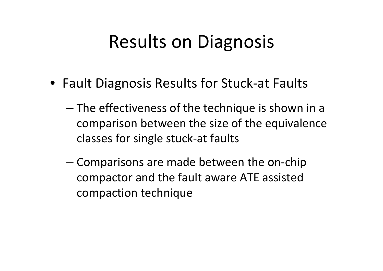## Results on Diagnosis

- Fault Diagnosis Results for Stuck‐at Faults
	- and the state of the state The effectiveness of the technique is shown in <sup>a</sup> comparison between the size of the equivalence classes for single stuck‐at faults
	- – Comparisons are made between the on‐chip compactor and the fault aware ATE assisted compaction technique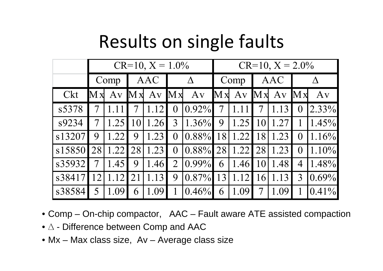## Results on single faults

|        |                         |                     |           | $CR=10$ , $X = 1.0\%$ |                |                               | $CR=10$ , $X = 2.0\%$   |                       |  |             |                |            |  |
|--------|-------------------------|---------------------|-----------|-----------------------|----------------|-------------------------------|-------------------------|-----------------------|--|-------------|----------------|------------|--|
|        | Comp                    |                     |           | AAC                   |                | $\Delta$                      |                         | Comp                  |  | AAC         |                |            |  |
| Ckt    | $\mathbf{M} \mathbf{x}$ | $\operatorname{Av}$ |           | Mx Av Mx              |                | $\bf{A}$ v                    | $\mathbf{M} \mathbf{x}$ |                       |  | Av Mx Av Mx |                | $\bf{A}$ v |  |
| s5378  |                         |                     |           | 1.12                  | $\overline{0}$ | 0.92%                         | $\overline{7}$          |                       |  |             | $\overline{0}$ | $2.33\%$   |  |
| s9234  |                         | 1.25                | <b>10</b> | 1.26                  | $\overline{3}$ | $1.36\%$                      | 9                       | $1.25$   10           |  | 1.27        |                | 1.45%      |  |
| s13207 | 9                       | 1.22                | 9         | 1.23                  | $\overline{0}$ | $\vert 0.88\% \vert 18 \vert$ |                         | 1.22                  |  | 18 1.23     | $\bf{0}$       | 1.16%      |  |
| s15850 | 28                      | 1.22                | 28        | 1.23                  | $\overline{0}$ | $0.88\%$                      |                         | 28   1.22   28   1.23 |  |             | $\bf{0}$       | 1.10%      |  |
| s35932 |                         | 1.45                | 9         | 1.46                  | $\overline{2}$ | $ 0.99\% $                    | 6                       | $1.46$ 10             |  | 1.48        | $\overline{4}$ | $1.48\%$   |  |
| s38417 | <sup>12</sup>           | 1.12                | 21        | 1.13                  | 9              | $\left 0.87\% \right $ 13     |                         | 1.12                  |  | 16 1.13     | $\overline{3}$ | $ 0.69\% $ |  |
| s38584 |                         | 1.09                | 6         | 1.09                  |                | $ 0.46\% $                    | 6                       | 1.09                  |  | .09         |                | $ 0.41\% $ |  |

- Comp On-chip compactor, AAC Fault aware ATE assisted compaction
- ∆ Difference between Comp and AAC
- Mx Max class size, Av Average class size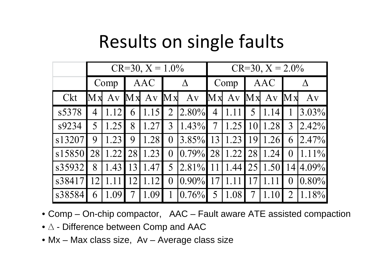## Results on single faults

|        |                         |      |    | $CR=30, X=1.0\%$ |                         |               | $CR=30, X = 2.0\%$  |      |           |             |                |              |
|--------|-------------------------|------|----|------------------|-------------------------|---------------|---------------------|------|-----------|-------------|----------------|--------------|
|        | Comp                    |      |    | AAC              |                         | $\Delta$      |                     | Comp |           | AAC         |                | Λ            |
| Ckt    | $\mathbf{M} \mathbf{x}$ | Av   |    | Mx Av            | $\mathbf{M} \mathbf{x}$ | Av            | $\mathbf{M} \times$ |      |           | Av Mx Av Mx |                | Av           |
| s5378  | 4                       | 1.12 | 6  | 1.15             | $\overline{2}$          | $2.80\%$      | $\overline{4}$      |      | 5         | 1.14        |                | $3.03\%$     |
| s9234  | 5                       | 1.25 | 8  | 1.27             | 3                       | $1.43\%$      | $\overline{7}$      | 1.25 | 10        | 1.28        | 3              | 2.42%        |
| s13207 | 9                       | 1.23 | 9  | 1.28             | $\theta$                | $3.85\%$   13 |                     | 1.23 | <b>19</b> | 1.26        | 6              | $ 2.47\% $   |
| s15850 | 28                      | 1.22 | 28 | 1.23             | $\overline{0}$          | $ 0.79\% $    | 28                  | 1.22 | 28        | 1.24        | $\overline{0}$ | $1.11\%$     |
| s35932 | 8                       | 1.43 | 13 | 1.47             | 5                       | $2.81\%$      |                     | 1.44 | 25        | 1.50        |                | $14 4.09\% $ |
| s38417 | 12                      |      | 12 | 1.12             | $\overline{0}$          | $ 0.90\% $    |                     |      |           |             | $\overline{0}$ | $0.80\%$     |
| s38584 | 6                       | 1.09 |    | 1.09             | 1                       | $0.76\%$      | 5                   | 1.08 | 7         |             |                | 1.18%        |

- Comp On-chip compactor, AAC Fault aware ATE assisted compaction
- ∆ Difference between Comp and AAC
- Mx Max class size, Av Average class size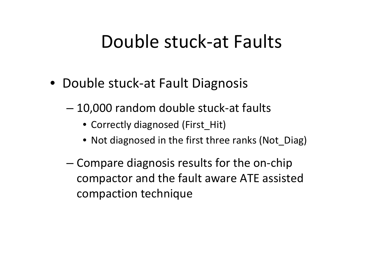#### Double stuck‐at Faults

- Double stuck‐at Fault Diagnosis
	- and the state of the state 10,000 random double stuck‐at faults
		- Correctly diagnosed (First\_Hit)
		- Not diagnosed in the first three ranks (Not\_Diag)
	- – Compare diagnosis results for the on‐chip compactor and the fault aware ATE assisted compaction technique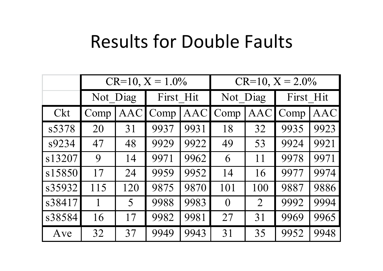#### Results for Double Faults

|        |          |            | $CR=10$ , $X = 1.0\%$ |            | $CR=10$ , $X = 2.0\%$ |                |           |            |  |  |
|--------|----------|------------|-----------------------|------------|-----------------------|----------------|-----------|------------|--|--|
|        | Not Diag |            | First Hit             |            | Not Diag              |                | First Hit |            |  |  |
| Ckt    | Comp     | <b>AAC</b> | Comp                  | <b>AAC</b> | Comp                  | <b>AAC</b>     | Comp      | <b>AAC</b> |  |  |
| s5378  | 20       | 31         | 9937                  | 9931       | 18                    | 32             | 9935      | 9923       |  |  |
| s9234  | 47       | 48         | 9929                  | 9922       | 49                    | 53             | 9924      | 9921       |  |  |
| s13207 | 9        | 14         | 9971                  | 9962       | 6                     | 11             | 9978      | 9971       |  |  |
| s15850 | 17       | 24         | 9959                  | 9952       | 14                    | 16             | 9977      | 9974       |  |  |
| s35932 | 115      | 120        | 9875                  | 9870       | 101                   | 100            | 9887      | 9886       |  |  |
| s38417 |          | 5          | 9988                  | 9983       | $\overline{0}$        | $\overline{2}$ | 9992      | 9994       |  |  |
| s38584 | 16       | 17         | 9982                  | 9981       | 27                    | 31             | 9969      | 9965       |  |  |
| Ave    | 32       | 37         | 9949                  | 9943       | 31                    | 35             | 9952      | 9948       |  |  |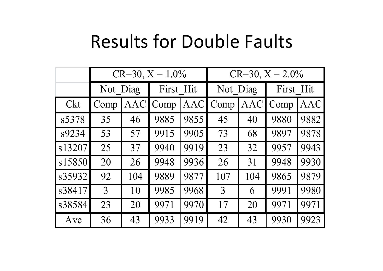#### Results for Double Faults

|        |                |            | $CR=30, X=1.0\%$ |            | $CR=30, X = 2.0\%$ |            |           |            |  |  |
|--------|----------------|------------|------------------|------------|--------------------|------------|-----------|------------|--|--|
|        | Not Diag       |            | First Hit        |            | Not Diag           |            | First Hit |            |  |  |
| Ckt    | Comp           | <b>AAC</b> | Comp             | <b>AAC</b> | Comp               | <b>AAC</b> | Comp      | $\rm{AAC}$ |  |  |
| s5378  | 35             | 46         | 9885             | 9855       | 45                 | 40         | 9880      | 9882       |  |  |
| s9234  | 53             | 57         | 9915             | 9905       | 73                 | 68         | 9897      | 9878       |  |  |
| s13207 | 25             | 37         | 9940             | 9919       | 23                 | 32         | 9957      | 9943       |  |  |
| s15850 | 20             | 26         | 9948             | 9936       | 26                 | 31         | 9948      | 9930       |  |  |
| s35932 | 92             | 104        | 9889             | 9877       | 107                | 104        | 9865      | 9879       |  |  |
| s38417 | $\overline{3}$ | 10         | 9985             | 9968       | 3                  | 6          | 9991      | 9980       |  |  |
| s38584 | 23             | 20         | 9971             | 9970       | 17                 | 20         | 9971      | 9971       |  |  |
| Ave    | 36             | 43         | 9933             | 9919       | 42                 | 43         | 9930      | 9923       |  |  |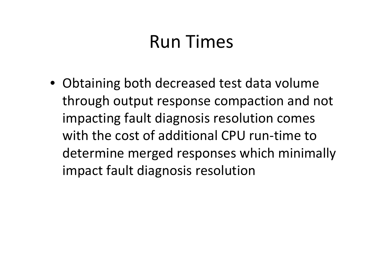## Run Times

• Obtaining both decreased test data volume through output response compaction and not impacting fault diagnosis resolution comes with the cost of additional CPU run‐time to determine merged responses which minimally impact fault diagnosis resolution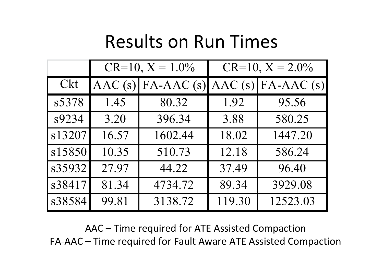#### Results on Run Times

|        |                  | $CR=10$ , $X = 1.0\%$ | $CR=10$ , $X = 2.0\%$ |             |  |  |  |
|--------|------------------|-----------------------|-----------------------|-------------|--|--|--|
| Ckt    | $\text{AAC}$ (s) | $FA-AAC(s)$           | $\vert$ AAC (s)       | $FA-AAC(s)$ |  |  |  |
| s5378  | 1.45             | 80.32                 | 1.92                  | 95.56       |  |  |  |
| s9234  | 3.20             | 396.34                | 3.88                  | 580.25      |  |  |  |
| s13207 | 16.57            | 1602.44               | 18.02                 | 1447.20     |  |  |  |
| s15850 | 10.35            | 510.73                | 12.18                 | 586.24      |  |  |  |
| s35932 | 27.97            | 44.22                 | 37.49                 | 96.40       |  |  |  |
| s38417 | 81.34            | 4734.72               | 89.34                 | 3929.08     |  |  |  |
| s38584 | 99.81            | 3138.72               | 119.30                | 12523.03    |  |  |  |

AAC – Time required for ATE Assisted Compaction FA‐AAC – Time required for Fault Aware ATE Assisted Compaction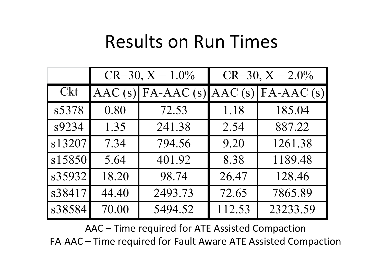#### Results on Run Times

|        |                  | $CR=30, X=1.0\%$ | $CR=30, X = 2.0\%$ |             |  |  |  |
|--------|------------------|------------------|--------------------|-------------|--|--|--|
| Ckt    | $\text{AAC}$ (s) | $FA-AAC(s)$      | AAC(s)             | $FA-AAC(s)$ |  |  |  |
| s5378  | 0.80             | 72.53            | 1.18               | 185.04      |  |  |  |
| s9234  | 1.35             | 241.38           | 2.54               | 887.22      |  |  |  |
| s13207 | 7.34             | 794.56           | 9.20               | 1261.38     |  |  |  |
| s15850 | 5.64             | 401.92           | 8.38               | 1189.48     |  |  |  |
| s35932 | 18.20            | 98.74            | 26.47              | 128.46      |  |  |  |
| s38417 | 44.40            | 2493.73          | 72.65              | 7865.89     |  |  |  |
| s38584 | 70.00            | 5494.52          | 112.53             | 23233.59    |  |  |  |

AAC – Time required for ATE Assisted Compaction FA‐AAC – Time required for Fault Aware ATE Assisted Compaction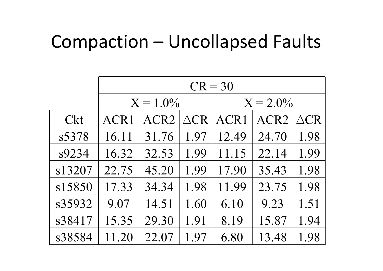#### Compaction – Uncollapsed Faults

|        |       |                  |                | $CR = 30$        |                  |                |  |  |
|--------|-------|------------------|----------------|------------------|------------------|----------------|--|--|
|        |       | $X = 1.0\%$      |                | $X = 2.0\%$      |                  |                |  |  |
| Ckt    | ACR1  | ACR <sub>2</sub> | $\triangle$ CR | ACR <sub>1</sub> | ACR <sub>2</sub> | $\triangle$ CR |  |  |
| s5378  | 16.11 | 31.76            | 1.97           | 12.49            | 24.70            | 1.98           |  |  |
| s9234  | 16.32 | 32.53            | 1.99           | 11.15            | 22.14            | 1.99           |  |  |
| s13207 | 22.75 | 45.20            | 1.99           | 17.90            | 35.43            | 1.98           |  |  |
| s15850 | 17.33 | 34.34            | 1.98           | 11.99            | 23.75            | 1.98           |  |  |
| s35932 | 9.07  | 14.51            | 1.60           | 6.10             | 9.23             | 1.51           |  |  |
| s38417 | 15.35 | 29.30            | 1.91           | 8.19             | 15.87            | 1.94           |  |  |
| s38584 | 11.20 | 22.07            | 1.97           | 6.80             | 13.48            | 1.98           |  |  |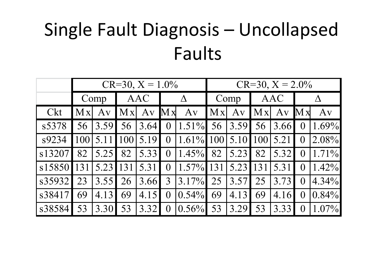## Single Fault Diagnosis – Uncollapsed Faults

|        |      |      |      | $CR=30, X=1.0\%$   |                         |              | $CR = 30, X = 2.0\%$ |              |                     |            |                         |          |
|--------|------|------|------|--------------------|-------------------------|--------------|----------------------|--------------|---------------------|------------|-------------------------|----------|
|        | Comp |      |      | AAC                |                         | $\Delta$     |                      | Comp         |                     | AAC        |                         |          |
| Ckt    | Mx   | Av   | Mx   | Av                 | $\mathbf{M} \mathbf{x}$ | Av           | Mx                   | Av           | $\vert$ M x $\vert$ | $\bf{A}$ v | $\mathbf{M} \mathbf{x}$ | Av       |
| s5378  | 56   | 3.59 | 56   | $\vert 3.64 \vert$ | $\overline{0}$          | $1.51\%$     | 56                   | 3.59         | 56                  | 3.66       |                         | 1.69%    |
| s9234  | 1001 |      | 1001 | 5.19               | $\overline{0}$          | $1.61\%$ 100 |                      | $5.10$   100 |                     | 5.21       | $\theta$                | 2.08%    |
| s13207 | 82   | 5.25 | 82   | 5.33               | $\overline{0}$          | $1.45\%$     | 82                   | 5.23         | 82                  | 5.32       |                         | $1.71\%$ |
| s15850 |      | 5.23 | 131  | 5.31               | $\overline{0}$          | $1.57\%$ 131 |                      | 5.23         | 131                 | 5.31       | $\left( \right)$        | $1.42\%$ |
| s35932 | 23   | 3.55 | 26   | 3.66               | $\overline{3}$          | $3.17\%$     | 25                   | 3.57         | 25                  | 3.73       | $\overline{0}$          | $4.34\%$ |
| s38417 | 69   | 4.13 | 69   | 4.15               | $\overline{0}$          | $0.54\%$     | 69                   | 4.13         | 69                  | 4.16       | $\theta$                | $0.84\%$ |
| s38584 | 53   | 3.30 | 53   | 3.32               | $\boldsymbol{0}$        | $0.56\%$     | 53                   | 3.29         | 53                  | 3.33       |                         | $1.07\%$ |